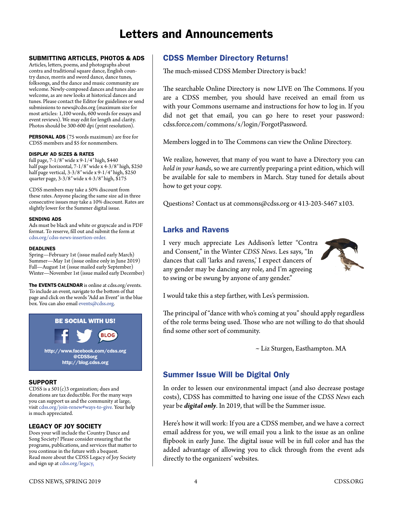# Letters and Announcements

## SUBMITTING ARTICLES, PHOTOS & ADS

Articles, letters, poems, and photographs about contra and traditional square dance, English country dance, morris and sword dance, dance tunes, folksongs, and the dance and music community are welcome. Newly-composed dances and tunes also are welcome, as are new looks at historical dances and tunes. Please contact the Editor for guidelines or send submissions to [news@cdss.org](mailto:news@cdss.org) (maximum size for most articles: 1,100 words, 600 words for essays and event reviews). We may edit for length and clarity. Photos should be 300-600 dpi (print resolution).

PERSONAL ADS (75 words maximum) are free for CDSS members and \$5 for nonmembers.

#### DISPLAY AD SIZES & RATES

full page, 7-1/8″ wide x 9-1/4″ high, \$440 half page horizontal, 7-1/8″ wide x 4-3/8″ high, \$250 half page vertical, 3-3/8″ wide x 9-1/4″ high, \$250 quarter page, 3-3/8″ wide x 4-3/8″ high, \$175

CDSS members may take a 50% discount from these rates. Anyone placing the same size ad in three consecutive issues may take a 10% discount. Rates are slightly lower for the Summer digital issue.

#### SENDING ADS

Ads must be black and white or grayscale and in PDF format. To reserve, fill out and submit the form at [cdss.org/cdss-news-insertion-order.](https://www.cdss.org/cdss-news-insertion-order)

#### DEADLINES

Spring—February 1st (issue mailed early March) Summer—May 1st (issue online only in June 2019) Fall—August 1st (issue mailed early September) Winter—November 1st (issue mailed early December)

The EVENTS CALENDAR is online at [cdss.org/events.](http://cdss.org/events) To include an event, navigate to the bottom of that page and click on the words "Add an Event" in the blue box. You can also email [events@cdss.org](mailto:events@cdss.org).



### SUPPORT

CDSS is a 501(c)3 organization; dues and donations are tax deductible. For the many ways you can support us and the community at large, visit [cdss.org/join-renew#ways-to-give](amazon.com). Your help is much appreciated.

## LEGACY OF JOY SOCIETY

Does your will include the Country Dance and Song Society? Please consider ensuring that the programs, publications, and services that matter to you continue in the future with a bequest. Read more about the CDSS Legacy of Joy Society and sign up at [cdss.org/legacy.](amazon.com)

## CDSS Member Directory Returns!

The much-missed CDSS Member Directory is back!

The searchable Online Directory is now LIVE on The Commons. If you are a CDSS member, you should have received an email from us with your Commons username and instructions for how to log in. If you did not get that email, you can go here to reset your password: [cdss.force.com/commons/s/login/ForgotPassword.](http://cdss.force.com/commons/s/login/ForgotPassword)

Members logged in to The Commons can view the Online Directory.

We realize, however, that many of you want to have a Directory you can *hold in your hands*, so we are currently preparing a print edition, which will be available for sale to members in March. Stay tuned for details about how to get your copy.

Questions? Contact us at [commons@cdss.org](mailto:commons@cdss.org) or 413-203-5467 x103.

# Larks and Ravens

I very much appreciate Les Addison's letter "Contra and Consent," in the Winter *CDSS News*. Les says, "In dances that call 'larks and ravens,' I expect dancers of any gender may be dancing any role, and I'm agreeing to swing or be swung by anyone of any gender."



I would take this a step farther, with Les's permission.

The principal of "dance with who's coming at you" should apply regardless of the role terms being used. Those who are not willing to do that should find some other sort of community.

~ Liz Sturgen, Easthampton. MA

# Summer Issue Will be Digital Only

In order to lessen our environmental impact (and also decrease postage costs), CDSS has committed to having one issue of the *CDSS News* each year be *digital only*. In 2019, that will be the Summer issue.

Here's how it will work: If you are a CDSS member, and we have a correct email address for you, we will email you a link to the issue as an online flipbook in early June. The digital issue will be in full color and has the added advantage of allowing you to click through from the event ads directly to the organizers' websites.